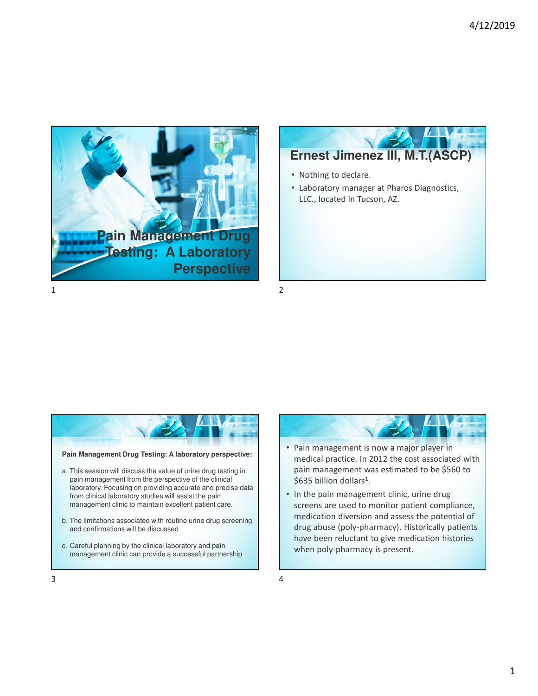







- Pain management is now a major player in medical practice. In 2012 the cost associated with pain management was estimated to be \$560 to \$635 billion dollars<sup>1</sup>.
- In the pain management clinic, urine drug screens are used to monitor patient compliance, medication diversion and assess the potential of drug abuse (poly-pharmacy). Historically patients have been reluctant to give medication histories when poly-pharmacy is present.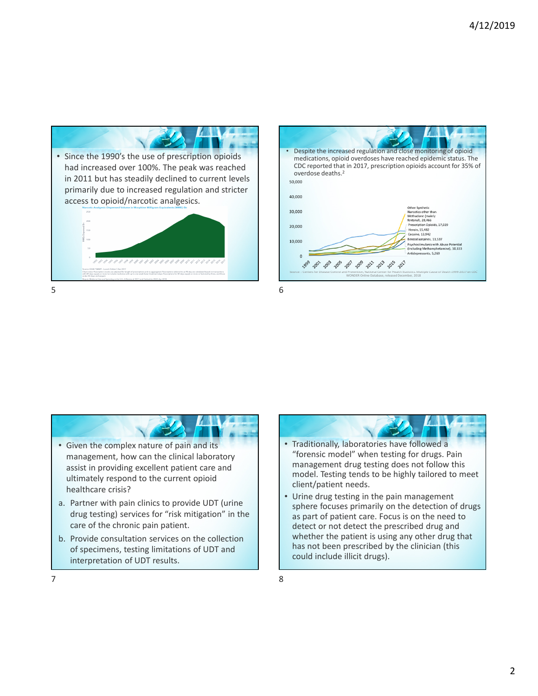

| Despite the increased regulation and close monitoring of opioid<br>medications, opioid overdoses have reached epidemic status. The<br>CDC reported that in 2017, prescription opioids account for 35% of<br>overdose deaths. <sup>2</sup><br>50,000<br>40,000                                                                                                                             |
|-------------------------------------------------------------------------------------------------------------------------------------------------------------------------------------------------------------------------------------------------------------------------------------------------------------------------------------------------------------------------------------------|
| Other Synthetic<br>30,000<br>Narcotics other than<br>Methadone (mainly<br>fentanyl), 28,466<br>Prescription Opioids, 17,029<br>20,000<br>Heroin, 15,482<br>Cocaine, 13,942                                                                                                                                                                                                                |
| Benzodiazepines, 11,537<br>10,000<br>Psychostimulants with Abuse Potential<br>(Including Methamphetamine), 10,333<br>Antidepressants, 5.269<br>$\Omega$<br>203 205 200 200 201 2013 2015 2017<br>Source: : Centers for Disease Control and Prevention, National Center for Health Statistics. Multiple Cause of Death 1999-2017 on CDC<br>WONDER Online Database, released December, 2018 |





• Urine drug testing in the pain management sphere focuses primarily on the detection of drugs as part of patient care. Focus is on the need to detect or not detect the prescribed drug and whether the patient is using any other drug that has not been prescribed by the clinician (this could include illicit drugs).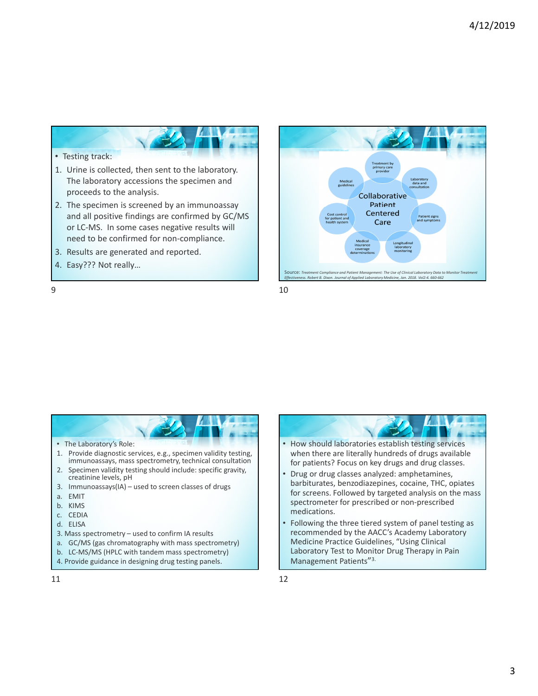

#### • Testing track:

- 1. Urine is collected, then sent to the laboratory. The laboratory accessions the specimen and proceeds to the analysis.
- 2. The specimen is screened by an immunoassay and all positive findings are confirmed by GC/MS or LC-MS. In some cases negative results will need to be confirmed for non-compliance.
- 3. Results are generated and reported.
- 4. Easy??? Not really…





 $9 \hspace{2.5cm} 10$ 

• How should laboratories establish testing services when there are literally hundreds of drugs available for patients? Focus on key drugs and drug classes.

- Drug or drug classes analyzed: amphetamines, barbiturates, benzodiazepines, cocaine, THC, opiates for screens. Followed by targeted analysis on the mass spectrometer for prescribed or non-prescribed medications.
- Following the three tiered system of panel testing as recommended by the AACC's Academy Laboratory Medicine Practice Guidelines, "Using Clinical Laboratory Test to Monitor Drug Therapy in Pain Management Patients"<sup>3.</sup>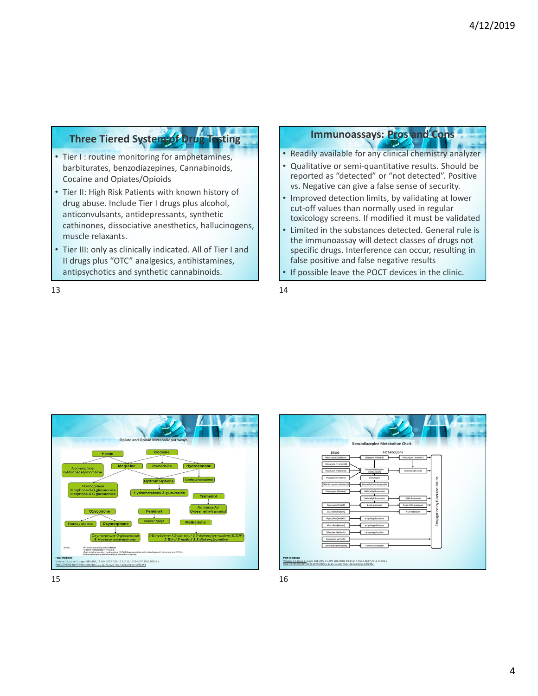## **Three Tiered System of Drug Testing**

- Tier I : routine monitoring for amphetamines, barbiturates, benzodiazepines, Cannabinoids, Cocaine and Opiates/Opioids
- Tier II: High Risk Patients with known history of drug abuse. Include Tier I drugs plus alcohol, anticonvulsants, antidepressants, synthetic cathinones, dissociative anesthetics, hallucinogens, muscle relaxants.
- Tier III: only as clinically indicated. All of Tier I and II drugs plus "OTC" analgesics, antihistamines, antipsychotics and synthetic cannabinoids.

# **Immunoassays: Pros and Cons**

- Readily available for any clinical chemistry analyzer
- Qualitative or semi-quantitative results. Should be reported as "detected" or "not detected". Positive vs. Negative can give a false sense of security.
- Improved detection limits, by validating at lower cut-off values than normally used in regular toxicology screens. If modified it must be validated
- Limited in the substances detected. General rule is the immunoassay will detect classes of drugs not specific drugs. Interference can occur, resulting in false positive and false negative results
- If possible leave the POCT devices in the clinic.

 $13$  and  $14$ 





 $15$  and  $16$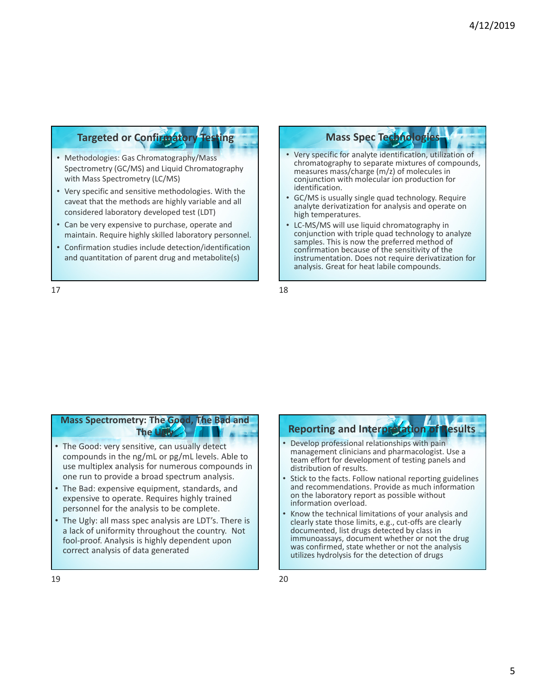### **Targeted or Confirmatory**

- Methodologies: Gas Chromatography/Mass Spectrometry (GC/MS) and Liquid Chromatography with Mass Spectrometry (LC/MS)
- Very specific and sensitive methodologies. With the caveat that the methods are highly variable and all considered laboratory developed test (LDT)
- Can be very expensive to purchase, operate and maintain. Require highly skilled laboratory personnel.
- Confirmation studies include detection/identification and quantitation of parent drug and metabolite(s)

### **Mass Spec Technolog**

- Very specific for analyte identification, utilization of chromatography to separate mixtures of compounds, measures mass/charge (m/z) of molecules in conjunction with molecular ion production for identification.
- GC/MS is usually single quad technology. Require analyte derivatization for analysis and operate on high temperatures.
- LC-MS/MS will use liquid chromatography in conjunction with triple quad technology to analyze samples. This is now the preferred method of confirmation because of the sensitivity of the instrumentation. Does not require derivatization for analysis. Great for heat labile compounds.

 $17$  and  $18$ 

#### **Mass Spectrometry: The Good, The Bad and The Ugly**

- The Good: very sensitive, can usually detect compounds in the ng/mL or pg/mL levels. Able to use multiplex analysis for numerous compounds in one run to provide a broad spectrum analysis.
- The Bad: expensive equipment, standards, and expensive to operate. Requires highly trained personnel for the analysis to be complete.
- The Ugly: all mass spec analysis are LDT's. There is a lack of uniformity throughout the country. Not fool-proof. Analysis is highly dependent upon correct analysis of data generated

# **Reporting and Interpretation of Results**

- Develop professional relationships with pain management clinicians and pharmacologist. Use a team effort for development of testing panels and distribution of results.
- Stick to the facts. Follow national reporting guidelines and recommendations. Provide as much information on the laboratory report as possible without information overload.
- Know the technical limitations of your analysis and clearly state those limits, e.g., cut-offs are clearly documented, list drugs detected by class in immunoassays, document whether or not the drug was confirmed, state whether or not the analysis utilizes hydrolysis for the detection of drugs